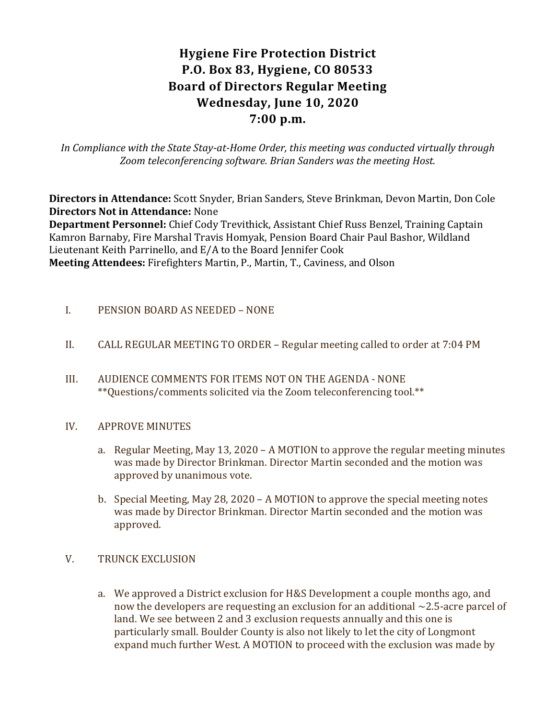# **Hygiene Fire Protection District P.O. Box 83, Hygiene, CO 80533 Board of Directors Regular Meeting Wednesday, June 10, 2020 7:00 p.m.**

*In Compliance with the State Stay-at-Home Order, this meeting was conducted virtually through Zoom teleconferencing software. Brian Sanders was the meeting Host.*

**Directors in Attendance:** Scott Snyder, Brian Sanders, Steve Brinkman, Devon Martin, Don Cole **Directors Not in Attendance:** None

**Department Personnel:** Chief Cody Trevithick, Assistant Chief Russ Benzel, Training Captain Kamron Barnaby, Fire Marshal Travis Homyak, Pension Board Chair Paul Bashor, Wildland Lieutenant Keith Parrinello, and E/A to the Board Jennifer Cook **Meeting Attendees:** Firefighters Martin, P., Martin, T., Caviness, and Olson

- I. PENSION BOARD AS NEEDED NONE
- II. CALL REGULAR MEETING TO ORDER Regular meeting called to order at 7:04 PM
- III. AUDIENCE COMMENTS FOR ITEMS NOT ON THE AGENDA NONE \*\*Questions/comments solicited via the Zoom teleconferencing tool.\*\*
- IV. APPROVE MINUTES
	- a. Regular Meeting, May 13, 2020 A MOTION to approve the regular meeting minutes was made by Director Brinkman. Director Martin seconded and the motion was approved by unanimous vote.
	- b. Special Meeting, May 28, 2020 A MOTION to approve the special meeting notes was made by Director Brinkman. Director Martin seconded and the motion was approved.
- V. TRUNCK EXCLUSION
	- a. We approved a District exclusion for H&S Development a couple months ago, and now the developers are requesting an exclusion for an additional  $\sim$ 2.5-acre parcel of land. We see between 2 and 3 exclusion requests annually and this one is particularly small. Boulder County is also not likely to let the city of Longmont expand much further West. A MOTION to proceed with the exclusion was made by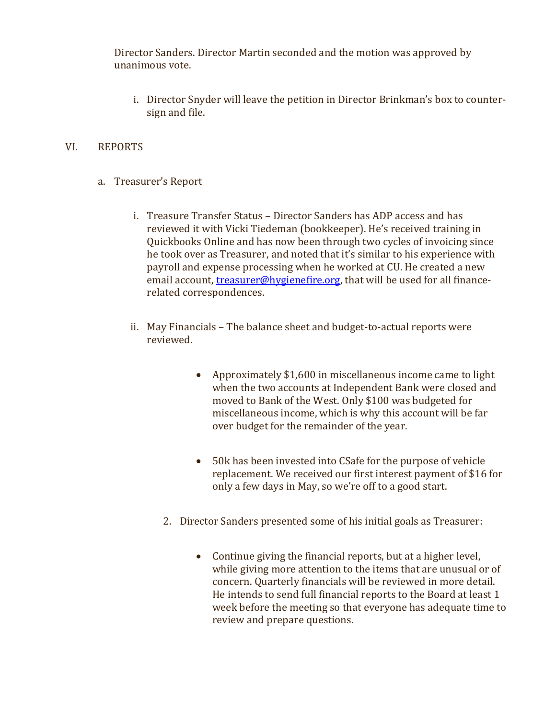Director Sanders. Director Martin seconded and the motion was approved by unanimous vote.

i. Director Snyder will leave the petition in Director Brinkman's box to countersign and file.

#### VI. REPORTS

- a. Treasurer's Report
	- i. Treasure Transfer Status Director Sanders has ADP access and has reviewed it with Vicki Tiedeman (bookkeeper). He's received training in Quickbooks Online and has now been through two cycles of invoicing since he took over as Treasurer, and noted that it's similar to his experience with payroll and expense processing when he worked at CU. He created a new email account, [treasurer@hygienefire.org,](mailto:treasurer@hygienefire.org) that will be used for all financerelated correspondences.
	- ii. May Financials The balance sheet and budget-to-actual reports were reviewed.
		- Approximately \$1,600 in miscellaneous income came to light when the two accounts at Independent Bank were closed and moved to Bank of the West. Only \$100 was budgeted for miscellaneous income, which is why this account will be far over budget for the remainder of the year.
		- 50k has been invested into CSafe for the purpose of vehicle replacement. We received our first interest payment of \$16 for only a few days in May, so we're off to a good start.
		- 2. Director Sanders presented some of his initial goals as Treasurer:
			- Continue giving the financial reports, but at a higher level, while giving more attention to the items that are unusual or of concern. Quarterly financials will be reviewed in more detail. He intends to send full financial reports to the Board at least 1 week before the meeting so that everyone has adequate time to review and prepare questions.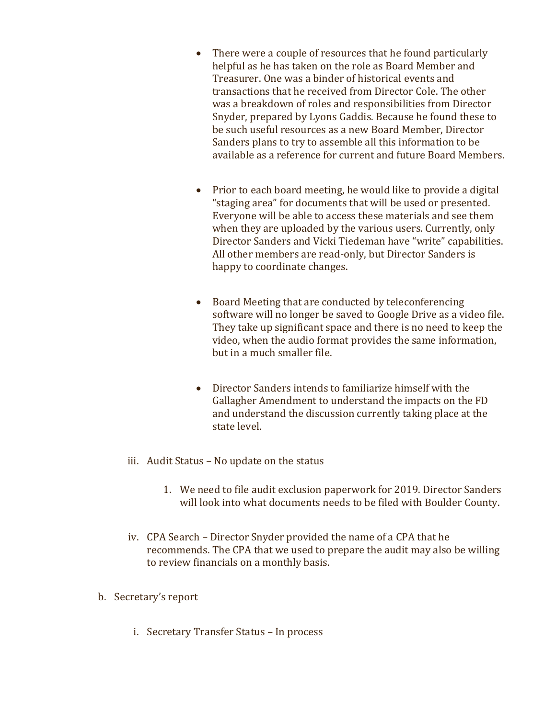- There were a couple of resources that he found particularly helpful as he has taken on the role as Board Member and Treasurer. One was a binder of historical events and transactions that he received from Director Cole. The other was a breakdown of roles and responsibilities from Director Snyder, prepared by Lyons Gaddis. Because he found these to be such useful resources as a new Board Member, Director Sanders plans to try to assemble all this information to be available as a reference for current and future Board Members.
- Prior to each board meeting, he would like to provide a digital "staging area" for documents that will be used or presented. Everyone will be able to access these materials and see them when they are uploaded by the various users. Currently, only Director Sanders and Vicki Tiedeman have "write" capabilities. All other members are read-only, but Director Sanders is happy to coordinate changes.
- Board Meeting that are conducted by teleconferencing software will no longer be saved to Google Drive as a video file. They take up significant space and there is no need to keep the video, when the audio format provides the same information, but in a much smaller file.
- Director Sanders intends to familiarize himself with the Gallagher Amendment to understand the impacts on the FD and understand the discussion currently taking place at the state level.
- iii. Audit Status No update on the status
	- 1. We need to file audit exclusion paperwork for 2019. Director Sanders will look into what documents needs to be filed with Boulder County.
- iv. CPA Search Director Snyder provided the name of a CPA that he recommends. The CPA that we used to prepare the audit may also be willing to review financials on a monthly basis.
- b. Secretary's report
	- i. Secretary Transfer Status In process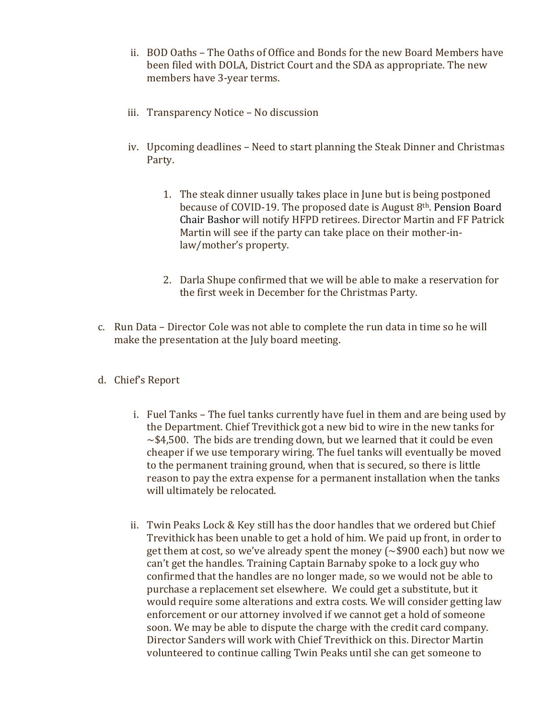- ii. BOD Oaths The Oaths of Office and Bonds for the new Board Members have been filed with DOLA, District Court and the SDA as appropriate. The new members have 3-year terms.
- iii. Transparency Notice No discussion
- iv. Upcoming deadlines Need to start planning the Steak Dinner and Christmas Party.
	- 1. The steak dinner usually takes place in June but is being postponed because of COVID-19. The proposed date is August 8th. Pension Board Chair Bashor will notify HFPD retirees. Director Martin and FF Patrick Martin will see if the party can take place on their mother-inlaw/mother's property.
	- 2. Darla Shupe confirmed that we will be able to make a reservation for the first week in December for the Christmas Party.
- c. Run Data Director Cole was not able to complete the run data in time so he will make the presentation at the July board meeting.
- d. Chief's Report
	- i. Fuel Tanks The fuel tanks currently have fuel in them and are being used by the Department. Chief Trevithick got a new bid to wire in the new tanks for  $\sim$ \$4,500. The bids are trending down, but we learned that it could be even cheaper if we use temporary wiring. The fuel tanks will eventually be moved to the permanent training ground, when that is secured, so there is little reason to pay the extra expense for a permanent installation when the tanks will ultimately be relocated.
	- ii. Twin Peaks Lock & Key still has the door handles that we ordered but Chief Trevithick has been unable to get a hold of him. We paid up front, in order to get them at cost, so we've already spent the money (~\$900 each) but now we can't get the handles. Training Captain Barnaby spoke to a lock guy who confirmed that the handles are no longer made, so we would not be able to purchase a replacement set elsewhere. We could get a substitute, but it would require some alterations and extra costs. We will consider getting law enforcement or our attorney involved if we cannot get a hold of someone soon. We may be able to dispute the charge with the credit card company. Director Sanders will work with Chief Trevithick on this. Director Martin volunteered to continue calling Twin Peaks until she can get someone to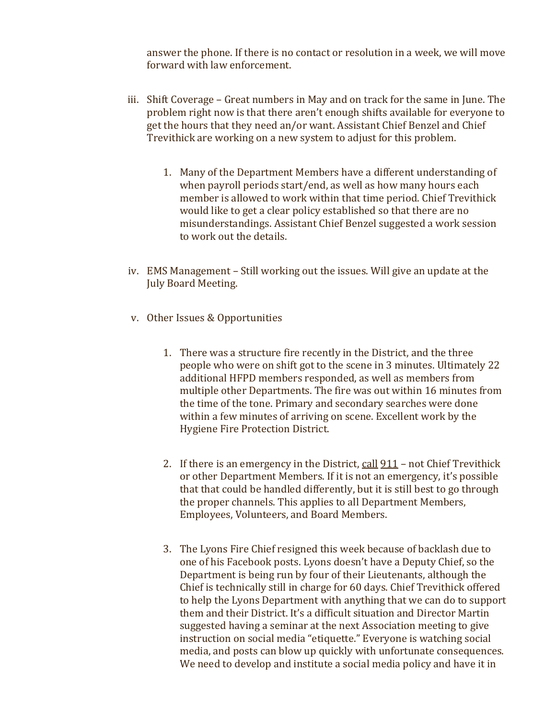answer the phone. If there is no contact or resolution in a week, we will move forward with law enforcement.

- iii. Shift Coverage Great numbers in May and on track for the same in June. The problem right now is that there aren't enough shifts available for everyone to get the hours that they need an/or want. Assistant Chief Benzel and Chief Trevithick are working on a new system to adjust for this problem.
	- 1. Many of the Department Members have a different understanding of when payroll periods start/end, as well as how many hours each member is allowed to work within that time period. Chief Trevithick would like to get a clear policy established so that there are no misunderstandings. Assistant Chief Benzel suggested a work session to work out the details.
- iv. EMS Management Still working out the issues. Will give an update at the July Board Meeting.
- v. Other Issues & Opportunities
	- 1. There was a structure fire recently in the District, and the three people who were on shift got to the scene in 3 minutes. Ultimately 22 additional HFPD members responded, as well as members from multiple other Departments. The fire was out within 16 minutes from the time of the tone. Primary and secondary searches were done within a few minutes of arriving on scene. Excellent work by the Hygiene Fire Protection District.
	- 2. If there is an emergency in the District, call  $911$  not Chief Trevithick or other Department Members. If it is not an emergency, it's possible that that could be handled differently, but it is still best to go through the proper channels. This applies to all Department Members, Employees, Volunteers, and Board Members.
	- 3. The Lyons Fire Chief resigned this week because of backlash due to one of his Facebook posts. Lyons doesn't have a Deputy Chief, so the Department is being run by four of their Lieutenants, although the Chief is technically still in charge for 60 days. Chief Trevithick offered to help the Lyons Department with anything that we can do to support them and their District. It's a difficult situation and Director Martin suggested having a seminar at the next Association meeting to give instruction on social media "etiquette." Everyone is watching social media, and posts can blow up quickly with unfortunate consequences. We need to develop and institute a social media policy and have it in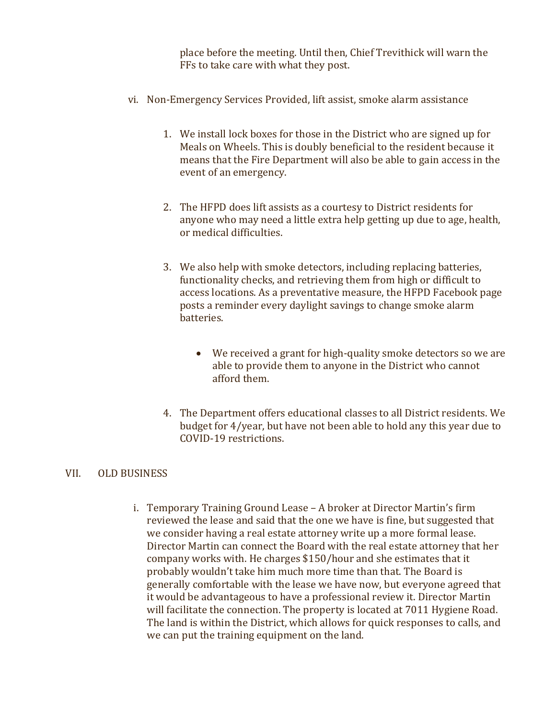place before the meeting. Until then, Chief Trevithick will warn the FFs to take care with what they post.

- vi. Non-Emergency Services Provided, lift assist, smoke alarm assistance
	- 1. We install lock boxes for those in the District who are signed up for Meals on Wheels. This is doubly beneficial to the resident because it means that the Fire Department will also be able to gain access in the event of an emergency.
	- 2. The HFPD does lift assists as a courtesy to District residents for anyone who may need a little extra help getting up due to age, health, or medical difficulties.
	- 3. We also help with smoke detectors, including replacing batteries, functionality checks, and retrieving them from high or difficult to access locations. As a preventative measure, the HFPD Facebook page posts a reminder every daylight savings to change smoke alarm batteries.
		- We received a grant for high-quality smoke detectors so we are able to provide them to anyone in the District who cannot afford them.
	- 4. The Department offers educational classes to all District residents. We budget for 4/year, but have not been able to hold any this year due to COVID-19 restrictions.

#### VII. OLD BUSINESS

i. Temporary Training Ground Lease – A broker at Director Martin's firm reviewed the lease and said that the one we have is fine, but suggested that we consider having a real estate attorney write up a more formal lease. Director Martin can connect the Board with the real estate attorney that her company works with. He charges \$150/hour and she estimates that it probably wouldn't take him much more time than that. The Board is generally comfortable with the lease we have now, but everyone agreed that it would be advantageous to have a professional review it. Director Martin will facilitate the connection. The property is located at 7011 Hygiene Road. The land is within the District, which allows for quick responses to calls, and we can put the training equipment on the land.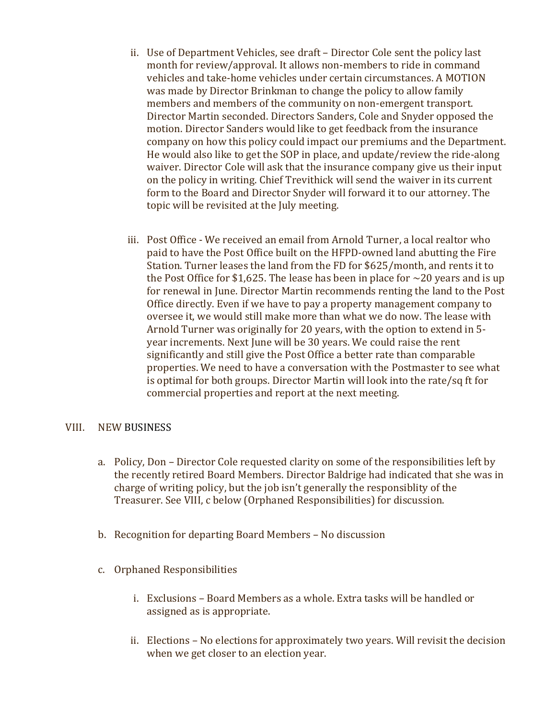- ii. Use of Department Vehicles, see draft Director Cole sent the policy last month for review/approval. It allows non-members to ride in command vehicles and take-home vehicles under certain circumstances. A MOTION was made by Director Brinkman to change the policy to allow family members and members of the community on non-emergent transport. Director Martin seconded. Directors Sanders, Cole and Snyder opposed the motion. Director Sanders would like to get feedback from the insurance company on how this policy could impact our premiums and the Department. He would also like to get the SOP in place, and update/review the ride-along waiver. Director Cole will ask that the insurance company give us their input on the policy in writing. Chief Trevithick will send the waiver in its current form to the Board and Director Snyder will forward it to our attorney. The topic will be revisited at the July meeting.
- iii. Post Office We received an email from Arnold Turner, a local realtor who paid to have the Post Office built on the HFPD-owned land abutting the Fire Station. Turner leases the land from the FD for \$625/month, and rents it to the Post Office for \$1,625. The lease has been in place for  $\sim$ 20 years and is up for renewal in June. Director Martin recommends renting the land to the Post Office directly. Even if we have to pay a property management company to oversee it, we would still make more than what we do now. The lease with Arnold Turner was originally for 20 years, with the option to extend in 5 year increments. Next June will be 30 years. We could raise the rent significantly and still give the Post Office a better rate than comparable properties. We need to have a conversation with the Postmaster to see what is optimal for both groups. Director Martin will look into the rate/sq ft for commercial properties and report at the next meeting.

# VIII. NEW BUSINESS

- a. Policy, Don Director Cole requested clarity on some of the responsibilities left by the recently retired Board Members. Director Baldrige had indicated that she was in charge of writing policy, but the job isn't generally the responsiblity of the Treasurer. See VIII, c below (Orphaned Responsibilities) for discussion.
- b. Recognition for departing Board Members No discussion
- c. Orphaned Responsibilities
	- i. Exclusions Board Members as a whole. Extra tasks will be handled or assigned as is appropriate.
	- ii. Elections No elections for approximately two years. Will revisit the decision when we get closer to an election year.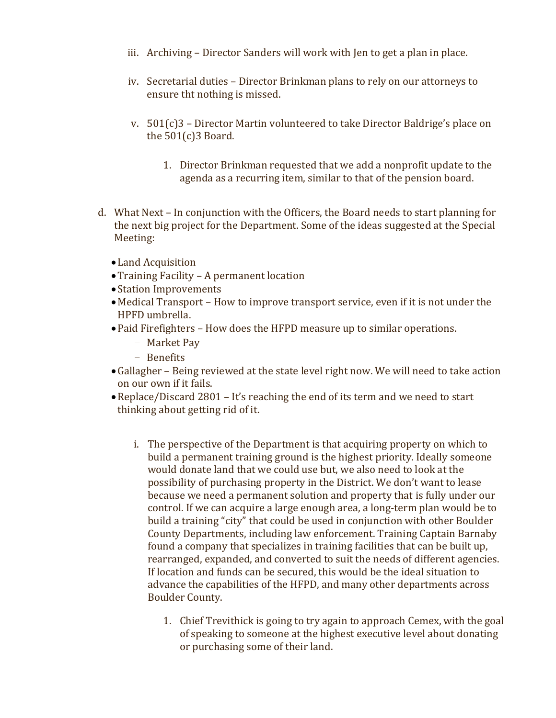- iii. Archiving Director Sanders will work with Jen to get a plan in place.
- iv. Secretarial duties Director Brinkman plans to rely on our attorneys to ensure tht nothing is missed.
- v.  $501(c)$ 3 Director Martin volunteered to take Director Baldrige's place on the 501(c)3 Board.
	- 1. Director Brinkman requested that we add a nonprofit update to the agenda as a recurring item, similar to that of the pension board.
- d. What Next In conjunction with the Officers, the Board needs to start planning for the next big project for the Department. Some of the ideas suggested at the Special Meeting:
	- Land Acquisition
	- •Training Facility A permanent location
	- •Station Improvements
	- Medical Transport How to improve transport service, even if it is not under the HPFD umbrella.
	- •Paid Firefighters How does the HFPD measure up to similar operations.
		- Market Pay
		- Benefits
	- •Gallagher Being reviewed at the state level right now. We will need to take action on our own if it fails.
	- •Replace/Discard 2801 It's reaching the end of its term and we need to start thinking about getting rid of it.
		- i. The perspective of the Department is that acquiring property on which to build a permanent training ground is the highest priority. Ideally someone would donate land that we could use but, we also need to look at the possibility of purchasing property in the District. We don't want to lease because we need a permanent solution and property that is fully under our control. If we can acquire a large enough area, a long-term plan would be to build a training "city" that could be used in conjunction with other Boulder County Departments, including law enforcement. Training Captain Barnaby found a company that specializes in training facilities that can be built up, rearranged, expanded, and converted to suit the needs of different agencies. If location and funds can be secured, this would be the ideal situation to advance the capabilities of the HFPD, and many other departments across Boulder County.
			- 1. Chief Trevithick is going to try again to approach Cemex, with the goal of speaking to someone at the highest executive level about donating or purchasing some of their land.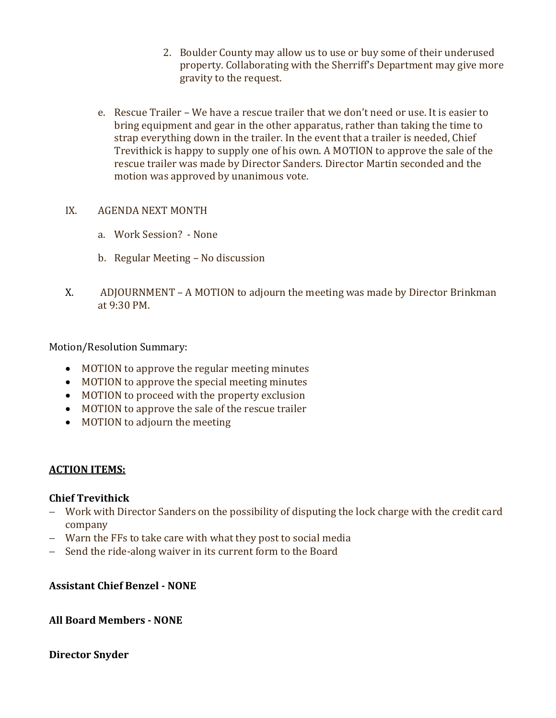- 2. Boulder County may allow us to use or buy some of their underused property. Collaborating with the Sherriff's Department may give more gravity to the request.
- e. Rescue Trailer We have a rescue trailer that we don't need or use. It is easier to bring equipment and gear in the other apparatus, rather than taking the time to strap everything down in the trailer. In the event that a trailer is needed, Chief Trevithick is happy to supply one of his own. A MOTION to approve the sale of the rescue trailer was made by Director Sanders. Director Martin seconded and the motion was approved by unanimous vote.

# IX. AGENDA NEXT MONTH

- a. Work Session? None
- b. Regular Meeting No discussion
- X. ADJOURNMENT A MOTION to adjourn the meeting was made by Director Brinkman at 9:30 PM.

Motion/Resolution Summary:

- MOTION to approve the regular meeting minutes
- MOTION to approve the special meeting minutes
- MOTION to proceed with the property exclusion
- MOTION to approve the sale of the rescue trailer
- MOTION to adjourn the meeting

# **ACTION ITEMS:**

# **Chief Trevithick**

- − Work with Director Sanders on the possibility of disputing the lock charge with the credit card company
- − Warn the FFs to take care with what they post to social media
- − Send the ride-along waiver in its current form to the Board

# **Assistant Chief Benzel - NONE**

# **All Board Members - NONE**

# **Director Snyder**